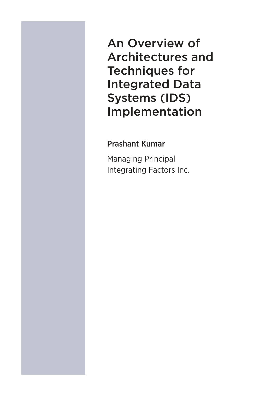An Overview of Architectures and Techniques for Integrated Data Systems (IDS) Implementation

### Prashant Kumar

Managing Principal Integrating Factors Inc.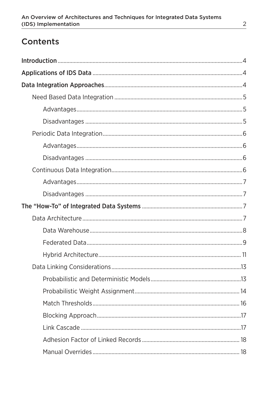# **Contents**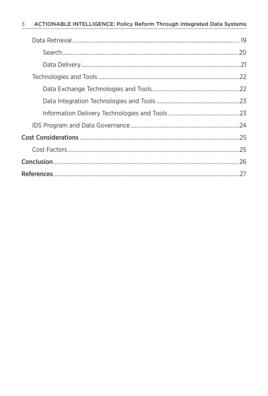#### $\overline{3}$ ACTIONABLE INTELLIGENCE: Policy Reform Through Integrated Data Systems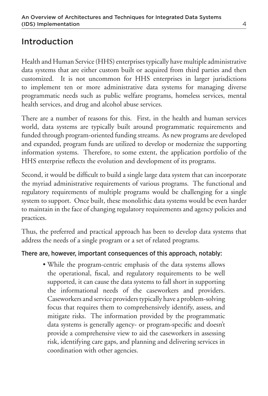# Introduction

Health and Human Service (HHS) enterprises typically have multiple administrative data systems that are either custom built or acquired from third parties and then customized. It is not uncommon for HHS enterprises in larger jurisdictions to implement ten or more administrative data systems for managing diverse programmatic needs such as public welfare programs, homeless services, mental health services, and drug and alcohol abuse services.

There are a number of reasons for this. First, in the health and human services world, data systems are typically built around programmatic requirements and funded through program-oriented funding streams. As new programs are developed and expanded, program funds are utilized to develop or modernize the supporting information systems. Therefore, to some extent, the application portfolio of the HHS enterprise reflects the evolution and development of its programs.

Second, it would be difficult to build a single large data system that can incorporate the myriad administrative requirements of various programs. The functional and regulatory requirements of multiple programs would be challenging for a single system to support. Once built, these monolithic data systems would be even harder to maintain in the face of changing regulatory requirements and agency policies and practices.

Thus, the preferred and practical approach has been to develop data systems that address the needs of a single program or a set of related programs.

#### There are, however, important consequences of this approach, notably:

• While the program-centric emphasis of the data systems allows the operational, fiscal, and regulatory requirements to be well supported, it can cause the data systems to fall short in supporting the informational needs of the caseworkers and providers. Caseworkers and service providers typically have a problem-solving focus that requires them to comprehensively identify, assess, and mitigate risks. The information provided by the programmatic data systems is generally agency- or program-specific and doesn't provide a comprehensive view to aid the caseworkers in assessing risk, identifying care gaps, and planning and delivering services in coordination with other agencies.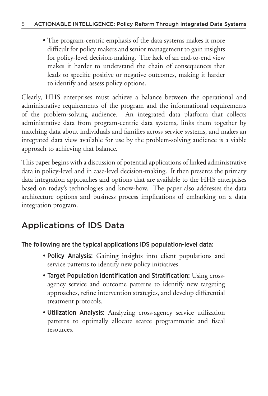• The program-centric emphasis of the data systems makes it more difficult for policy makers and senior management to gain insights for policy-level decision-making. The lack of an end-to-end view makes it harder to understand the chain of consequences that leads to specific positive or negative outcomes, making it harder to identify and assess policy options.

Clearly, HHS enterprises must achieve a balance between the operational and administrative requirements of the program and the informational requirements of the problem-solving audience. An integrated data platform that collects administrative data from program-centric data systems, links them together by matching data about individuals and families across service systems, and makes an integrated data view available for use by the problem-solving audience is a viable approach to achieving that balance.

This paper begins with a discussion of potential applications of linked administrative data in policy-level and in case-level decision-making. It then presents the primary data integration approaches and options that are available to the HHS enterprises based on today's technologies and know-how. The paper also addresses the data architecture options and business process implications of embarking on a data integration program.

# Applications of IDS Data

#### The following are the typical applications IDS population-level data:

- •Policy Analysis: Gaining insights into client populations and service patterns to identify new policy initiatives.
- Target Population Identification and Stratification: Using crossagency service and outcome patterns to identify new targeting approaches, refine intervention strategies, and develop differential treatment protocols.
- •Utilization Analysis: Analyzing cross-agency service utilization patterns to optimally allocate scarce programmatic and fiscal resources.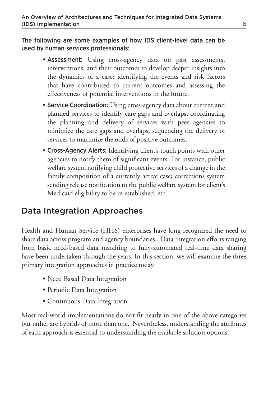The following are some examples of how IDS client-level data can be used by human services professionals:

- Assessment: Using cross-agency data on past assessments, interventions, and their outcomes to develop deeper insights into the dynamics of a case; identifying the events and risk factors that have contributed to current outcomes and assessing the effectiveness of potential interventions in the future.
- Service Coordination: Using cross-agency data about current and planned services to identify care gaps and overlaps; coordinating the planning and delivery of services with peer agencies to minimize the care gaps and overlaps; sequencing the delivery of services to maximize the odds of positive outcomes.
- Cross-Agency Alerts: Identifying client's touch points with other agencies to notify them of significant events: For instance, public welfare system notifying child protective services of a change in the family composition of a currently active case; corrections system sending release notification to the public welfare system for client's Medicaid eligibility to be re-established, etc.

# Data Integration Approaches

Health and Human Service (HHS) enterprises have long recognized the need to share data across program and agency boundaries. Data integration efforts ranging from basic need-based data matching to fully-automated real-time data sharing have been undertaken through the years. In this section, we will examine the three primary integration approaches in practice today.

- Need Based Data Integration
- Periodic Data Integration
- •Continuous Data Integration

Most real-world implementations do not fit neatly in one of the above categories but rather are hybrids of more than one. Nevertheless, understanding the attributes of each approach is essential to understanding the available solution options.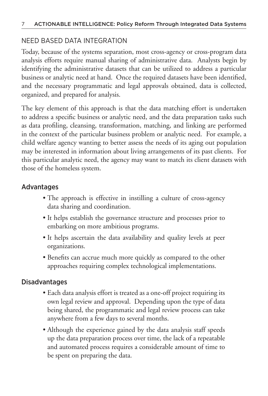### NEED BASED DATA INTEGRATION

Today, because of the systems separation, most cross-agency or cross-program data analysis efforts require manual sharing of administrative data. Analysts begin by identifying the administrative datasets that can be utilized to address a particular business or analytic need at hand. Once the required datasets have been identified, and the necessary programmatic and legal approvals obtained, data is collected, organized, and prepared for analysis.

The key element of this approach is that the data matching effort is undertaken to address a specific business or analytic need, and the data preparation tasks such as data profiling, cleansing, transformation, matching, and linking are performed in the context of the particular business problem or analytic need. For example, a child welfare agency wanting to better assess the needs of its aging out population may be interested in information about living arrangements of its past clients. For this particular analytic need, the agency may want to match its client datasets with those of the homeless system.

### Advantages

- The approach is effective in instilling a culture of cross-agency data sharing and coordination.
- It helps establish the governance structure and processes prior to embarking on more ambitious programs.
- It helps ascertain the data availability and quality levels at peer organizations.
- Benefits can accrue much more quickly as compared to the other approaches requiring complex technological implementations.

#### Disadvantages

- Each data analysis effort is treated as a one-off project requiring its own legal review and approval. Depending upon the type of data being shared, the programmatic and legal review process can take anywhere from a few days to several months.
- Although the experience gained by the data analysis staff speeds up the data preparation process over time, the lack of a repeatable and automated process requires a considerable amount of time to be spent on preparing the data.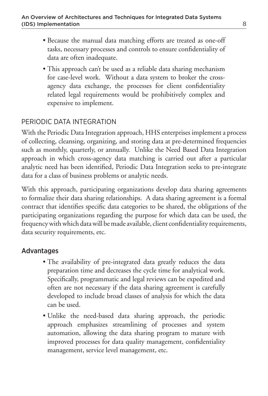- Because the manual data matching efforts are treated as one-off tasks, necessary processes and controls to ensure confidentiality of data are often inadequate.
- This approach can't be used as a reliable data sharing mechanism for case-level work. Without a data system to broker the crossagency data exchange, the processes for client confidentiality related legal requirements would be prohibitively complex and expensive to implement.

### PERIODIC DATA INTEGRATION

With the Periodic Data Integration approach, HHS enterprises implement a process of collecting, cleansing, organizing, and storing data at pre-determined frequencies such as monthly, quarterly, or annually. Unlike the Need Based Data Integration approach in which cross-agency data matching is carried out after a particular analytic need has been identified, Periodic Data Integration seeks to pre-integrate data for a class of business problems or analytic needs.

With this approach, participating organizations develop data sharing agreements to formalize their data sharing relationships. A data sharing agreement is a formal contract that identifies specific data categories to be shared, the obligations of the participating organizations regarding the purpose for which data can be used, the frequency with which data will be made available, client confidentiality requirements, data security requirements, etc.

### Advantages

- The availability of pre-integrated data greatly reduces the data preparation time and decreases the cycle time for analytical work. Specifically, programmatic and legal reviews can be expedited and often are not necessary if the data sharing agreement is carefully developed to include broad classes of analysis for which the data can be used.
- Unlike the need-based data sharing approach, the periodic approach emphasizes streamlining of processes and system automation, allowing the data sharing program to mature with improved processes for data quality management, confidentiality management, service level management, etc.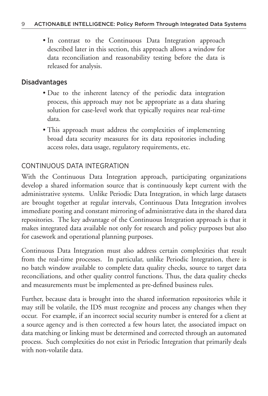• In contrast to the Continuous Data Integration approach described later in this section, this approach allows a window for data reconciliation and reasonability testing before the data is released for analysis.

### Disadvantages

- Due to the inherent latency of the periodic data integration process, this approach may not be appropriate as a data sharing solution for case-level work that typically requires near real-time data.
- This approach must address the complexities of implementing broad data security measures for its data repositories including access roles, data usage, regulatory requirements, etc.

### CONTINUOUS DATA INTEGRATION

With the Continuous Data Integration approach, participating organizations develop a shared information source that is continuously kept current with the administrative systems. Unlike Periodic Data Integration, in which large datasets are brought together at regular intervals, Continuous Data Integration involves immediate posting and constant mirroring of administrative data in the shared data repositories. The key advantage of the Continuous Integration approach is that it makes integrated data available not only for research and policy purposes but also for casework and operational planning purposes.

Continuous Data Integration must also address certain complexities that result from the real-time processes. In particular, unlike Periodic Integration, there is no batch window available to complete data quality checks, source to target data reconciliations, and other quality control functions. Thus, the data quality checks and measurements must be implemented as pre-defined business rules.

Further, because data is brought into the shared information repositories while it may still be volatile, the IDS must recognize and process any changes when they occur. For example, if an incorrect social security number is entered for a client at a source agency and is then corrected a few hours later, the associated impact on data matching or linking must be determined and corrected through an automated process. Such complexities do not exist in Periodic Integration that primarily deals with non-volatile data.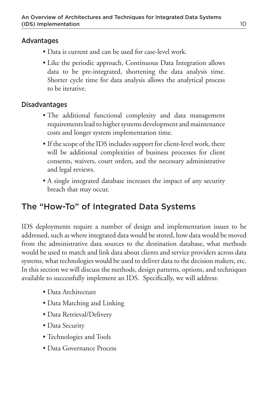### Advantages

- •Data is current and can be used for case-level work.
- Like the periodic approach, Continuous Data Integration allows data to be pre-integrated, shortening the data analysis time. Shorter cycle time for data analysis allows the analytical process to be iterative.

### Disadvantages

- The additional functional complexity and data management requirements lead to higher systems development and maintenance costs and longer system implementation time.
- If the scope of the IDS includes support for client-level work, there will be additional complexities of business processes for client consents, waivers, court orders, and the necessary administrative and legal reviews.
- A single integrated database increases the impact of any security breach that may occur.

# The "How-To" of Integrated Data Systems

IDS deployments require a number of design and implementation issues to be addressed, such as where integrated data would be stored, how data would be moved from the administrative data sources to the destination database, what methods would be used to match and link data about clients and service providers across data systems, what technologies would be used to deliver data to the decision makers, etc. In this section we will discuss the methods, design patterns, options, and techniques available to successfully implement an IDS. Specifically, we will address:

- •Data Architecture
- •Data Matching and Linking
- Data Retrieval/Delivery
- Data Security
- Technologies and Tools
- Data Governance Process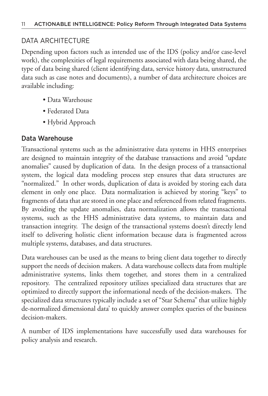### DATA ARCHITECTURE

Depending upon factors such as intended use of the IDS (policy and/or case-level work), the complexities of legal requirements associated with data being shared, the type of data being shared (client identifying data, service history data, unstructured data such as case notes and documents), a number of data architecture choices are available including:

- •Data Warehouse
- •Federated Data
- •Hybrid Approach

### Data Warehouse

Transactional systems such as the administrative data systems in HHS enterprises are designed to maintain integrity of the database transactions and avoid "update anomalies" caused by duplication of data. In the design process of a transactional system, the logical data modeling process step ensures that data structures are "normalized." In other words, duplication of data is avoided by storing each data element in only one place. Data normalization is achieved by storing "keys" to fragments of data that are stored in one place and referenced from related fragments. By avoiding the update anomalies, data normalization allows the transactional systems, such as the HHS administrative data systems, to maintain data and transaction integrity. The design of the transactional systems doesn't directly lend itself to delivering holistic client information because data is fragmented across multiple systems, databases, and data structures.

Data warehouses can be used as the means to bring client data together to directly support the needs of decision makers. A data warehouse collects data from multiple administrative systems, links them together, and stores them in a centralized repository. The centralized repository utilizes specialized data structures that are optimized to directly support the informational needs of the decision-makers. The specialized data structures typically include a set of "Star Schema" that utilize highly de-normalized dimensional data' to quickly answer complex queries of the business decision-makers.

A number of IDS implementations have successfully used data warehouses for policy analysis and research.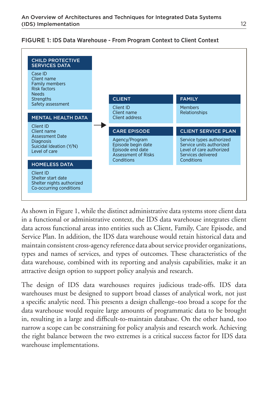#### FIGURE 1: IDS Data Warehouse - From Program Context to Client Context



As shown in Figure 1, while the distinct administrative data systems store client data in a functional or administrative context, the IDS data warehouse integrates client data across functional areas into entities such as Client, Family, Care Episode, and Service Plan. In addition, the IDS data warehouse would retain historical data and maintain consistent cross-agency reference data about service provider organizations, types and names of services, and types of outcomes. These characteristics of the data warehouse, combined with its reporting and analysis capabilities, make it an attractive design option to support policy analysis and research.

The design of IDS data warehouses requires judicious trade-offs. IDS data warehouses must be designed to support broad classes of analytical work, not just a specific analytic need. This presents a design challenge–too broad a scope for the data warehouse would require large amounts of programmatic data to be brought in, resulting in a large and difficult-to-maintain database. On the other hand, too narrow a scope can be constraining for policy analysis and research work. Achieving the right balance between the two extremes is a critical success factor for IDS data warehouse implementations.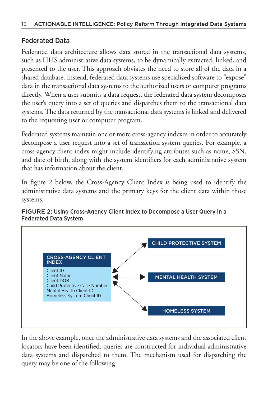### Federated Data

Federated data architecture allows data stored in the transactional data systems, such as HHS administrative data systems, to be dynamically extracted, linked, and presented to the user. This approach obviates the need to store all of the data in a shared database. Instead, federated data systems use specialized software to "expose" data in the transactional data systems to the authorized users or computer programs directly. When a user submits a data request, the federated data system decomposes the user's query into a set of queries and dispatches them to the transactional data systems. The data returned by the transactional data systems is linked and delivered to the requesting user or computer program.

Federated systems maintain one or more cross-agency indexes in order to accurately decompose a user request into a set of transaction system queries. For example, a cross-agency client index might include identifying attributes such as name, SSN, and date of birth, along with the system identifiers for each administrative system that has information about the client.

In figure 2 below, the Cross-Agency Client Index is being used to identify the administrative data systems and the primary keys for the client data within those systems.



#### FIGURE 2: Using Cross-Agency Client Index to Decompose a User Query in a Federated Data System

In the above example, once the administrative data systems and the associated client locators have been identified, queries are constructed for individual administrative data systems and dispatched to them. The mechanism used for dispatching the query may be one of the following: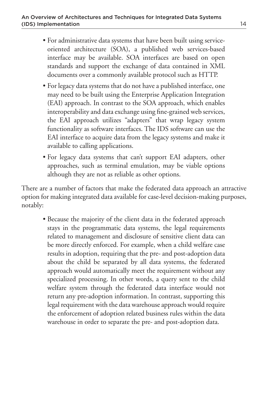- For administrative data systems that have been built using serviceoriented architecture (SOA), a published web services-based interface may be available. SOA interfaces are based on open standards and support the exchange of data contained in XML documents over a commonly available protocol such as HTTP.
- For legacy data systems that do not have a published interface, one may need to be built using the Enterprise Application Integration (EAI) approach. In contrast to the SOA approach, which enables interoperability and data exchange using fine-grained web services, the EAI approach utilizes "adapters" that wrap legacy system functionality as software interfaces. The IDS software can use the EAI interface to acquire data from the legacy systems and make it available to calling applications.
- For legacy data systems that can't support EAI adapters, other approaches, such as terminal emulation, may be viable options although they are not as reliable as other options.

There are a number of factors that make the federated data approach an attractive option for making integrated data available for case-level decision-making purposes, notably:

• Because the majority of the client data in the federated approach stays in the programmatic data systems, the legal requirements related to management and disclosure of sensitive client data can be more directly enforced. For example, when a child welfare case results in adoption, requiring that the pre- and post-adoption data about the child be separated by all data systems, the federated approach would automatically meet the requirement without any specialized processing. In other words, a query sent to the child welfare system through the federated data interface would not return any pre-adoption information. In contrast, supporting this legal requirement with the data warehouse approach would require the enforcement of adoption related business rules within the data warehouse in order to separate the pre- and post-adoption data.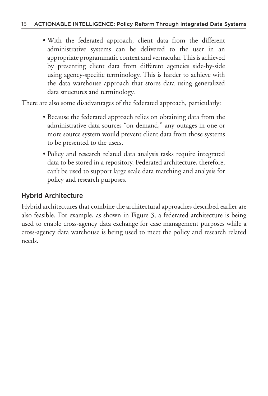• With the federated approach, client data from the different administrative systems can be delivered to the user in an appropriate programmatic context and vernacular. This is achieved by presenting client data from different agencies side-by-side using agency-specific terminology. This is harder to achieve with the data warehouse approach that stores data using generalized data structures and terminology.

There are also some disadvantages of the federated approach, particularly:

- Because the federated approach relies on obtaining data from the administrative data sources "on demand," any outages in one or more source system would prevent client data from those systems to be presented to the users.
- Policy and research related data analysis tasks require integrated data to be stored in a repository. Federated architecture, therefore, can't be used to support large scale data matching and analysis for policy and research purposes.

### Hybrid Architecture

Hybrid architectures that combine the architectural approaches described earlier are also feasible. For example, as shown in Figure 3, a federated architecture is being used to enable cross-agency data exchange for case management purposes while a cross-agency data warehouse is being used to meet the policy and research related needs.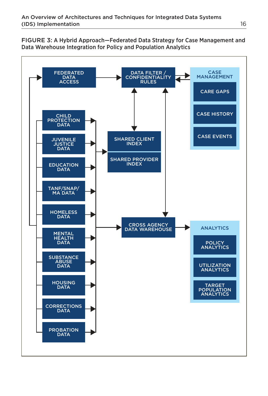FIGURE 3: A Hybrid Approach—Federated Data Strategy for Case Management and Data Warehouse Integration for Policy and Population Analytics

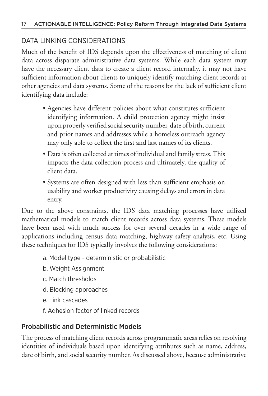### DATA LINKING CONSIDERATIONS

Much of the benefit of IDS depends upon the effectiveness of matching of client data across disparate administrative data systems. While each data system may have the necessary client data to create a client record internally, it may not have sufficient information about clients to uniquely identify matching client records at other agencies and data systems. Some of the reasons for the lack of sufficient client identifying data include:

- Agencies have different policies about what constitutes sufficient identifying information. A child protection agency might insist upon properly verified social security number, date of birth, current and prior names and addresses while a homeless outreach agency may only able to collect the first and last names of its clients.
- Data is often collected at times of individual and family stress. This impacts the data collection process and ultimately, the quality of client data.
- Systems are often designed with less than sufficient emphasis on usability and worker productivity causing delays and errors in data entry.

Due to the above constraints, the IDS data matching processes have utilized mathematical models to match client records across data systems. These models have been used with much success for over several decades in a wide range of applications including census data matching, highway safety analysis, etc. Using these techniques for IDS typically involves the following considerations:

- a. Model type deterministic or probabilistic
- b. Weight Assignment
- c. Match thresholds
- d. Blocking approaches
- e. Link cascades
- f. Adhesion factor of linked records

### Probabilistic and Deterministic Models

The process of matching client records across programmatic areas relies on resolving identities of individuals based upon identifying attributes such as name, address, date of birth, and social security number. As discussed above, because administrative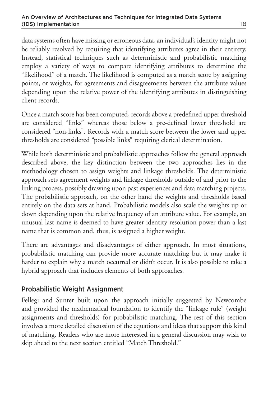data systems often have missing or erroneous data, an individual's identity might not be reliably resolved by requiring that identifying attributes agree in their entirety. Instead, statistical techniques such as deterministic and probabilistic matching employ a variety of ways to compare identifying attributes to determine the "likelihood" of a match. The likelihood is computed as a match score by assigning points, or weights, for agreements and disagreements between the attribute values depending upon the relative power of the identifying attributes in distinguishing client records.

Once a match score has been computed, records above a predefined upper threshold are considered "links" whereas those below a pre-defined lower threshold are considered "non-links". Records with a match score between the lower and upper thresholds are considered "possible links" requiring clerical determination.

While both deterministic and probabilistic approaches follow the general approach described above, the key distinction between the two approaches lies in the methodology chosen to assign weights and linkage thresholds. The deterministic approach sets agreement weights and linkage thresholds outside of and prior to the linking process, possibly drawing upon past experiences and data matching projects. The probabilistic approach, on the other hand the weights and thresholds based entirely on the data sets at hand. Probabilistic models also scale the weights up or down depending upon the relative frequency of an attribute value. For example, an unusual last name is deemed to have greater identity resolution power than a last name that is common and, thus, is assigned a higher weight.

There are advantages and disadvantages of either approach. In most situations, probabilistic matching can provide more accurate matching but it may make it harder to explain why a match occurred or didn't occur. It is also possible to take a hybrid approach that includes elements of both approaches.

### Probabilistic Weight Assignment

Fellegi and Sunter built upon the approach initially suggested by Newcombe and provided the mathematical foundation to identify the "linkage rule" (weight assignments and thresholds) for probabilistic matching. The rest of this section involves a more detailed discussion of the equations and ideas that support this kind of matching. Readers who are more interested in a general discussion may wish to skip ahead to the next section entitled "Match Threshold."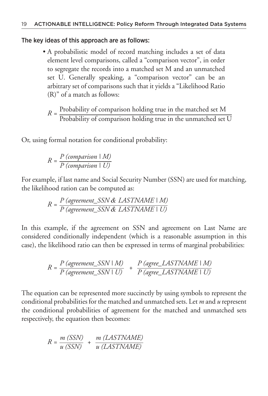#### The key ideas of this approach are as follows:

- A probabilistic model of record matching includes a set of data element level comparisons, called a "comparison vector", in order to segregate the records into a matched set M and an unmatched set U. Generally speaking, a "comparison vector" can be an arbitrary set of comparisons such that it yields a "Likelihood Ratio (R)" of a match as follows:
	- $R =$ Probability of comparison holding true in the matched set M Probability of comparison holding true in the unmatched set U

Or, using formal notation for conditional probability:

$$
R = \frac{P\ (comparison \mid M)}{P\ (comparison \mid U)}
$$

For example, if last name and Social Security Number (SSN) are used for matching, the likelihood ration can be computed as:

$$
R = \frac{P \ (agreement\_SSN \ & LASTNAME \mid M)}{P \ (agreement\_SSN \ & LASTNAME \mid U)}
$$

In this example, if the agreement on SSN and agreement on Last Name are considered conditionally independent (which is a reasonable assumption in this case), the likelihood ratio can then be expressed in terms of marginal probabilities:

$$
R = \frac{P \ (agreement\_SSN \mid M)}{P \ (agreement\_SSN \mid U)} + \frac{P \ (agree\_LASTNAME \mid M)}{P \ (agree\_LASTNAME \mid U)}
$$

The equation can be represented more succinctly by using symbols to represent the conditional probabilities for the matched and unmatched sets. Let *m* and *u* represent the conditional probabilities of agreement for the matched and unmatched sets respectively, the equation then becomes:

$$
R = \frac{m (SSN)}{u (SSN)} + \frac{m (LASTNAME)}{u (LASTNAME)}
$$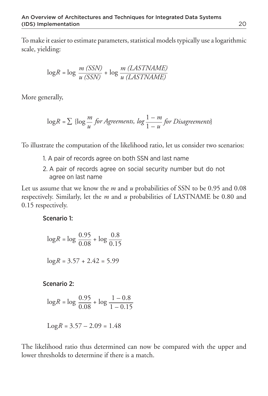To make it easier to estimate parameters, statistical models typically use a logarithmic scale, yielding:

$$
\log R = \log \frac{m \ (SSN)}{u \ (SSN)} + \log \frac{m \ (LASTNAME)}{u \ (LASTNAME)}
$$

More generally,

$$
\log R = \sum \{ \log \frac{m}{u} \text{ for Agreenents, } \log \frac{1-m}{1-u} \text{ for Disagreements} \}
$$

To illustrate the computation of the likelihood ratio, let us consider two scenarios:

- 1. A pair of records agree on both SSN and last name
- 2. A pair of records agree on social security number but do not agree on last name

Let us assume that we know the *m* and *u* probabilities of SSN to be 0.95 and 0.08 respectively. Similarly, let the *m* and *u* probabilities of LASTNAME be 0.80 and 0.15 respectively.

Scenario 1:

$$
\log R = \log \frac{0.95}{0.08} + \log \frac{0.8}{0.15}
$$

$$
\log R = 3.57 + 2.42 = 5.99
$$

Scenario 2:

$$
\log R = \log \frac{0.95}{0.08} + \log \frac{1 - 0.8}{1 - 0.15}
$$

$$
Log R = 3.57 - 2.09 = 1.48
$$

The likelihood ratio thus determined can now be compared with the upper and lower thresholds to determine if there is a match.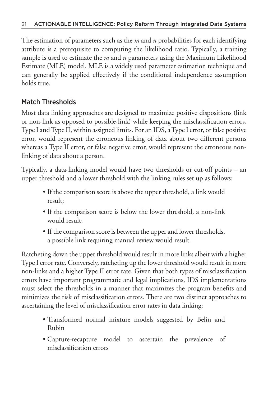The estimation of parameters such as the *m* and *u* probabilities for each identifying attribute is a prerequisite to computing the likelihood ratio. Typically, a training sample is used to estimate the *m* and *u* parameters using the Maximum Likelihood Estimate (MLE) model. MLE is a widely used parameter estimation technique and can generally be applied effectively if the conditional independence assumption holds true.

### Match Thresholds

Most data linking approaches are designed to maximize positive dispositions (link or non-link as opposed to possible-link) while keeping the misclassification errors, Type I and Type II, within assigned limits. For an IDS, a Type I error, or false positive error, would represent the erroneous linking of data about two different persons whereas a Type II error, or false negative error, would represent the erroneous nonlinking of data about a person.

Typically, a data-linking model would have two thresholds or cut-off points – an upper threshold and a lower threshold with the linking rules set up as follows:

- If the comparison score is above the upper threshold, a link would result;
- If the comparison score is below the lower threshold, a non-link would result;
- If the comparison score is between the upper and lower thresholds, a possible link requiring manual review would result.

Ratcheting down the upper threshold would result in more links albeit with a higher Type I error rate. Conversely, ratcheting up the lower threshold would result in more non-links and a higher Type II error rate. Given that both types of misclassification errors have important programmatic and legal implications, IDS implementations must select the thresholds in a manner that maximizes the program benefits and minimizes the risk of misclassification errors. There are two distinct approaches to ascertaining the level of misclassification error rates in data linking:

- Transformed normal mixture models suggested by Belin and Rubin
- Capture-recapture model to ascertain the prevalence of misclassification errors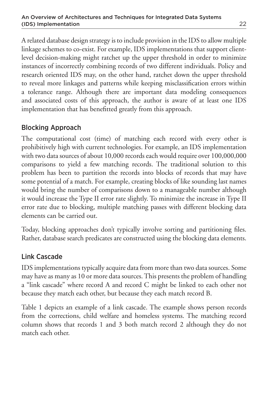A related database design strategy is to include provision in the IDS to allow multiple linkage schemes to co-exist. For example, IDS implementations that support clientlevel decision-making might ratchet up the upper threshold in order to minimize instances of incorrectly combining records of two different individuals. Policy and research oriented IDS may, on the other hand, ratchet down the upper threshold to reveal more linkages and patterns while keeping misclassification errors within a tolerance range. Although there are important data modeling consequences and associated costs of this approach, the author is aware of at least one IDS implementation that has benefitted greatly from this approach.

### Blocking Approach

The computational cost (time) of matching each record with every other is prohibitively high with current technologies. For example, an IDS implementation with two data sources of about 10,000 records each would require over 100,000,000 comparisons to yield a few matching records. The traditional solution to this problem has been to partition the records into blocks of records that may have some potential of a match. For example, creating blocks of like sounding last names would bring the number of comparisons down to a manageable number although it would increase the Type II error rate slightly. To minimize the increase in Type II error rate due to blocking, multiple matching passes with different blocking data elements can be carried out.

Today, blocking approaches don't typically involve sorting and partitioning files. Rather, database search predicates are constructed using the blocking data elements.

### Link Cascade

IDS implementations typically acquire data from more than two data sources. Some may have as many as 10 or more data sources. This presents the problem of handling a "link cascade" where record A and record C might be linked to each other not because they match each other, but because they each match record B.

Table 1 depicts an example of a link cascade. The example shows person records from the corrections, child welfare and homeless systems. The matching record column shows that records 1 and 3 both match record 2 although they do not match each other.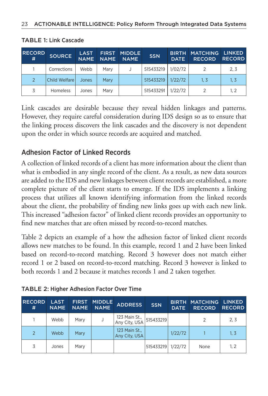| <b>RECORD</b><br>.#' | <b>SOURCE</b> | <b>LAST</b><br><b>NAME</b> | <b>FIRST</b><br><b>NAME</b> | <b>MIDDLE</b><br><b>NAME</b> | <b>SSN</b> | <b>BIRTH</b><br><b>DATE</b> | <b>MATCHING</b><br><b>RECORD</b> | <b>LINKED</b><br><b>RECORD</b> |
|----------------------|---------------|----------------------------|-----------------------------|------------------------------|------------|-----------------------------|----------------------------------|--------------------------------|
|                      | Corrections   | Webb                       | Mary                        |                              | 515433219  | 1/02/72                     |                                  | 2.3                            |
|                      | Child Welfare | Jones                      | Mary                        |                              | 515433219  | 1/22/72                     | 1. 3                             | 1, 3                           |
|                      | Homeless      | Jones                      | Mary                        |                              | 515433291  | 1/22/72                     |                                  | 1. 2                           |

#### TABLE 1: Link Cascade

Link cascades are desirable because they reveal hidden linkages and patterns. However, they require careful consideration during IDS design so as to ensure that the linking process discovers the link cascades and the discovery is not dependent upon the order in which source records are acquired and matched.

### Adhesion Factor of Linked Records

A collection of linked records of a client has more information about the client than what is embodied in any single record of the client. As a result, as new data sources are added to the IDS and new linkages between client records are established, a more complete picture of the client starts to emerge. If the IDS implements a linking process that utilizes all known identifying information from the linked records about the client, the probability of finding new links goes up with each new link. This increased "adhesion factor" of linked client records provides an opportunity to find new matches that are often missed by record-to-record matches.

Table 2 depicts an example of a how the adhesion factor of linked client records allows new matches to be found. In this example, record 1 and 2 have been linked based on record-to-record matching. Record 3 however does not match either record 1 or 2 based on record-to-record matching. Record 3 however is linked to both records 1 and 2 because it matches records 1 and 2 taken together.

| <b>RECORD</b><br># | <b>LAST</b><br><b>NAME</b> | <b>FIRST</b><br><b>NAME</b> | <b>MIDDLE</b><br><b>NAME</b> | <b>ADDRESS</b>                 | <b>SSN</b> | <b>BIRTH</b><br><b>DATE</b> | <b>MATCHING</b><br><b>RECORD</b> | <b>LINKED</b><br><b>RECORD</b> |
|--------------------|----------------------------|-----------------------------|------------------------------|--------------------------------|------------|-----------------------------|----------------------------------|--------------------------------|
|                    | Webb                       | Mary                        |                              | 123 Main St.,<br>Any City, USA | 515433219  |                             |                                  | 2.3                            |
| 2                  | Webb                       | Mary                        |                              | 123 Main St.,<br>Any City, USA |            | 1/22/72                     |                                  | 1.3                            |
| 3                  | Jones                      | Mary                        |                              |                                | 515433219  | 1/22/72                     | None                             | 1, 2                           |

#### TABLE 2: Higher Adhesion Factor Over Time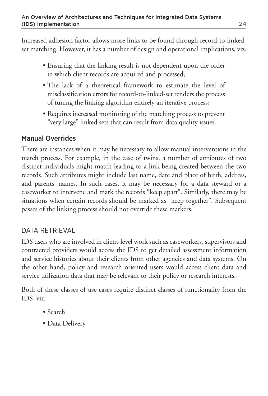Increased adhesion factor allows more links to be found through record-to-linkedset matching. However, it has a number of design and operational implications, viz.

- Ensuring that the linking result is not dependent upon the order in which client records are acquired and processed;
- The lack of a theoretical framework to estimate the level of misclassification errors for record-to-linked-set renders the process of tuning the linking algorithm entirely an iterative process;
- Requires increased monitoring of the matching process to prevent "very large" linked sets that can result from data quality issues.

### Manual Overrides

There are instances when it may be necessary to allow manual interventions in the match process. For example, in the case of twins, a number of attributes of two distinct individuals might match leading to a link being created between the two records. Such attributes might include last name, date and place of birth, address, and parents' names. In such cases, it may be necessary for a data steward or a caseworker to intervene and mark the records "keep apart". Similarly, there may be situations when certain records should be marked as "keep together". Subsequent passes of the linking process should not override these markers.

### DATA RETRIEVAL

IDS users who are involved in client-level work such as caseworkers, supervisors and contracted providers would access the IDS to get detailed assessment information and service histories about their clients from other agencies and data systems. On the other hand, policy and research oriented users would access client data and service utilization data that may be relevant to their policy or research interests.

Both of these classes of use cases require distinct classes of functionality from the IDS, viz.

- Search
- Data Delivery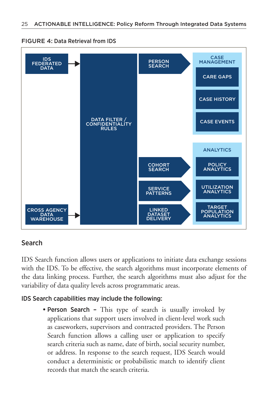

FIGURE 4: Data Retrieval from IDS

### Search

IDS Search function allows users or applications to initiate data exchange sessions with the IDS. To be effective, the search algorithms must incorporate elements of the data linking process. Further, the search algorithms must also adjust for the variability of data quality levels across programmatic areas.

#### IDS Search capabilities may include the following:

• Person Search - This type of search is usually invoked by applications that support users involved in client-level work such as caseworkers, supervisors and contracted providers. The Person Search function allows a calling user or application to specify search criteria such as name, date of birth, social security number, or address. In response to the search request, IDS Search would conduct a deterministic or probabilistic match to identify client records that match the search criteria.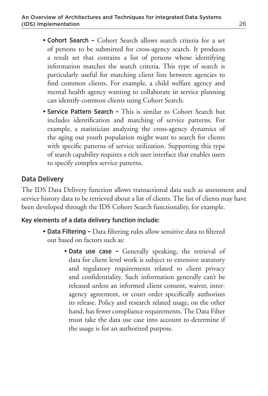- Cohort Search Cohort Search allows search criteria for a set of persons to be submitted for cross-agency search. It produces a result set that contains a list of persons whose identifying information matches the search criteria. This type of search is particularly useful for matching client lists between agencies to find common clients. For example, a child welfare agency and mental health agency wanting to collaborate in service planning can identify common clients using Cohort Search.
- Service Pattern Search This is similar to Cohort Search but includes identification and matching of service patterns. For example, a statistician analyzing the cross-agency dynamics of the aging out youth population might want to search for clients with specific patterns of service utilization. Supporting this type of search capability requires a rich user interface that enables users to specify complex service patterns.

#### Data Delivery

The IDS Data Delivery function allows transactional data such as assessment and service history data to be retrieved about a list of clients. The list of clients may have been developed through the IDS Cohort Search functionality, for example.

#### Key elements of a data delivery function include:

- Data Filtering Data filtering rules allow sensitive data to filtered out based on factors such as:
	- Data use case Generally speaking, the retrieval of data for client level work is subject to extensive statutory and regulatory requirements related to client privacy and confidentiality. Such information generally can't be released unless an informed client consent, waiver, interagency agreement, or court order specifically authorizes its release. Policy and research related usage, on the other hand, has fewer compliance requirements. The Data Filter must take the data use case into account to determine if the usage is for an authorized purpose.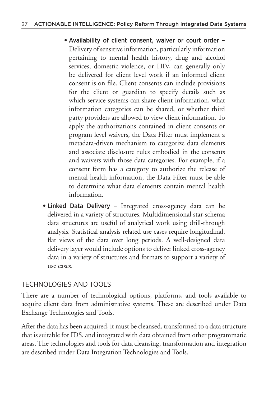- **•**Availability of client consent, waiver or court order Delivery of sensitive information, particularly information pertaining to mental health history, drug and alcohol services, domestic violence, or HIV, can generally only be delivered for client level work if an informed client consent is on file. Client consents can include provisions for the client or guardian to specify details such as which service systems can share client information, what information categories can be shared, or whether third party providers are allowed to view client information. To apply the authorizations contained in client consents or program level waivers, the Data Filter must implement a metadata-driven mechanism to categorize data elements and associate disclosure rules embodied in the consents and waivers with those data categories. For example, if a consent form has a category to authorize the release of mental health information, the Data Filter must be able to determine what data elements contain mental health information.
- **•**Linked Data Delivery Integrated cross-agency data can be delivered in a variety of structures. Multidimensional star-schema data structures are useful of analytical work using drill-through analysis. Statistical analysis related use cases require longitudinal, flat views of the data over long periods. A well-designed data delivery layer would include options to deliver linked cross-agency data in a variety of structures and formats to support a variety of use cases.

### TECHNOLOGIES AND TOOLS

There are a number of technological options, platforms, and tools available to acquire client data from administrative systems. These are described under Data Exchange Technologies and Tools.

After the data has been acquired, it must be cleansed, transformed to a data structure that is suitable for IDS, and integrated with data obtained from other programmatic areas. The technologies and tools for data cleansing, transformation and integration are described under Data Integration Technologies and Tools.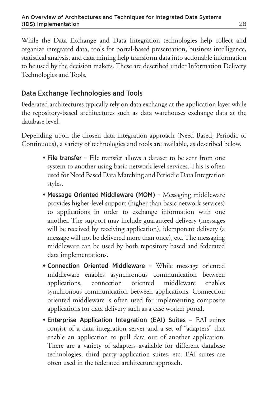While the Data Exchange and Data Integration technologies help collect and organize integrated data, tools for portal-based presentation, business intelligence, statistical analysis, and data mining help transform data into actionable information to be used by the decision makers. These are described under Information Delivery Technologies and Tools.

## Data Exchange Technologies and Tools

Federated architectures typically rely on data exchange at the application layer while the repository-based architectures such as data warehouses exchange data at the database level.

Depending upon the chosen data integration approach (Need Based, Periodic or Continuous), a variety of technologies and tools are available, as described below.

- File transfer File transfer allows a dataset to be sent from one system to another using basic network level services. This is often used for Need Based Data Matching and Periodic Data Integration styles.
- Message Oriented Middleware (MOM) Messaging middleware provides higher-level support (higher than basic network services) to applications in order to exchange information with one another. The support may include guaranteed delivery (messages will be received by receiving application), idempotent delivery (a message will not be delivered more than once), etc. The messaging middleware can be used by both repository based and federated data implementations.
- **•**Connection Oriented Middleware While message oriented middleware enables asynchronous communication between applications, connection oriented middleware enables synchronous communication between applications. Connection oriented middleware is often used for implementing composite applications for data delivery such as a case worker portal.
- Enterprise Application Integration (EAI) Suites EAI suites consist of a data integration server and a set of "adapters" that enable an application to pull data out of another application. There are a variety of adapters available for different database technologies, third party application suites, etc. EAI suites are often used in the federated architecture approach.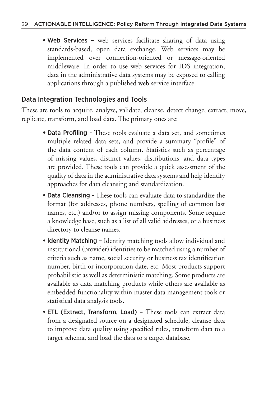• Web Services – web services facilitate sharing of data using standards-based, open data exchange. Web services may be implemented over connection-oriented or message-oriented middleware. In order to use web services for IDS integration, data in the administrative data systems may be exposed to calling applications through a published web service interface.

### Data Integration Technologies and Tools

These are tools to acquire, analyze, validate, cleanse, detect change, extract, move, replicate, transform, and load data. The primary ones are:

- **•**Data Profiling These tools evaluate a data set, and sometimes multiple related data sets, and provide a summary "profile" of the data content of each column. Statistics such as percentage of missing values, distinct values, distributions, and data types are provided. These tools can provide a quick assessment of the quality of data in the administrative data systems and help identify approaches for data cleansing and standardization.
- Data Cleansing These tools can evaluate data to standardize the format (for addresses, phone numbers, spelling of common last names, etc.) and/or to assign missing components. Some require a knowledge base, such as a list of all valid addresses, or a business directory to cleanse names.
- Identity Matching Identity matching tools allow individual and institutional (provider) identities to be matched using a number of criteria such as name, social security or business tax identification number, birth or incorporation date, etc. Most products support probabilistic as well as deterministic matching. Some products are available as data matching products while others are available as embedded functionality within master data management tools or statistical data analysis tools.
- ETL (Extract, Transform, Load) These tools can extract data from a designated source on a designated schedule, cleanse data to improve data quality using specified rules, transform data to a target schema, and load the data to a target database.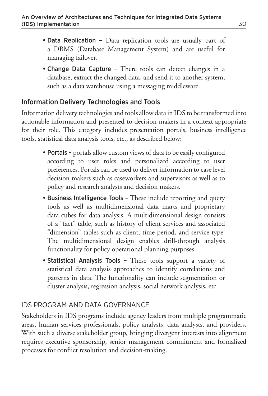- Data Replication Data replication tools are usually part of a DBMS (Database Management System) and are useful for managing failover.
- Change Data Capture There tools can detect changes in a database, extract the changed data, and send it to another system, such as a data warehouse using a messaging middleware.

### Information Delivery Technologies and Tools

Information delivery technologies and tools allow data in IDS to be transformed into actionable information and presented to decision makers in a context appropriate for their role. This category includes presentation portals, business intelligence tools, statistical data analysis tools, etc., as described below:

- Portals portals allow custom views of data to be easily configured according to user roles and personalized according to user preferences. Portals can be used to deliver information to case level decision makers such as caseworkers and supervisors as well as to policy and research analysts and decision makers.
- Business Intelligence Tools These include reporting and query tools as well as multidimensional data marts and proprietary data cubes for data analysis. A multidimensional design consists of a "fact" table, such as history of client services and associated "dimension" tables such as client, time period, and service type. The multidimensional design enables drill-through analysis functionality for policy operational planning purposes.
- Statistical Analysis Tools These tools support a variety of statistical data analysis approaches to identify correlations and patterns in data. The functionality can include segmentation or cluster analysis, regression analysis, social network analysis, etc.

### IDS PROGRAM AND DATA GOVERNANCE

Stakeholders in IDS programs include agency leaders from multiple programmatic areas, human services professionals, policy analysts, data analysts, and providers. With such a diverse stakeholder group, bringing divergent interests into alignment requires executive sponsorship, senior management commitment and formalized processes for conflict resolution and decision-making.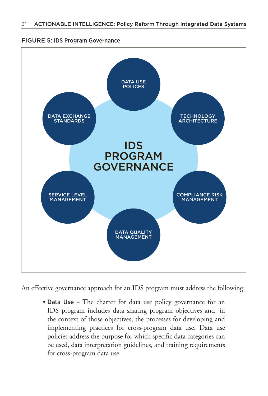#### FIGURE 5: IDS Program Governance



An effective governance approach for an IDS program must address the following:

• Data Use - The charter for data use policy governance for an IDS program includes data sharing program objectives and, in the context of those objectives, the processes for developing and implementing practices for cross-program data use. Data use policies address the purpose for which specific data categories can be used, data interpretation guidelines, and training requirements for cross-program data use.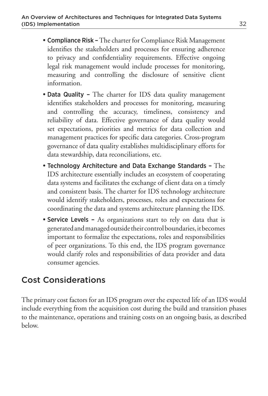- Compliance Risk The charter for Compliance Risk Management identifies the stakeholders and processes for ensuring adherence to privacy and confidentiality requirements. Effective ongoing legal risk management would include processes for monitoring, measuring and controlling the disclosure of sensitive client information.
- Data Quality The charter for IDS data quality management identifies stakeholders and processes for monitoring, measuring and controlling the accuracy, timeliness, consistency and reliability of data. Effective governance of data quality would set expectations, priorities and metrics for data collection and management practices for specific data categories. Cross-program governance of data quality establishes multidisciplinary efforts for data stewardship, data reconciliations, etc.
- Technology Architecture and Data Exchange Standards The IDS architecture essentially includes an ecosystem of cooperating data systems and facilitates the exchange of client data on a timely and consistent basis. The charter for IDS technology architecture would identify stakeholders, processes, roles and expectations for coordinating the data and systems architecture planning the IDS.
- Service Levels As organizations start to rely on data that is generated and managed outside their control boundaries, it becomes important to formalize the expectations, roles and responsibilities of peer organizations. To this end, the IDS program governance would clarify roles and responsibilities of data provider and data consumer agencies.

# Cost Considerations

The primary cost factors for an IDS program over the expected life of an IDS would include everything from the acquisition cost during the build and transition phases to the maintenance, operations and training costs on an ongoing basis, as described below.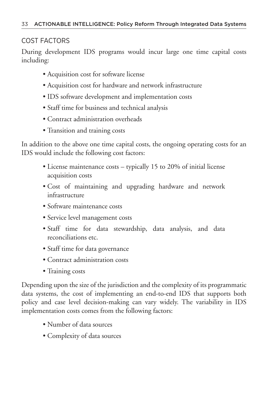### COST FACTORS

During development IDS programs would incur large one time capital costs including:

- •Acquisition cost for software license
- •Acquisition cost for hardware and network infrastructure
- •IDS software development and implementation costs
- •Staff time for business and technical analysis
- •Contract administration overheads
- Transition and training costs

In addition to the above one time capital costs, the ongoing operating costs for an IDS would include the following cost factors:

- License maintenance costs typically 15 to 20% of initial license acquisition costs
- Cost of maintaining and upgrading hardware and network infrastructure
- •Software maintenance costs
- Service level management costs
- Staff time for data stewardship, data analysis, and data reconciliations etc.
- Staff time for data governance
- •Contract administration costs
- Training costs

Depending upon the size of the jurisdiction and the complexity of its programmatic data systems, the cost of implementing an end-to-end IDS that supports both policy and case level decision-making can vary widely. The variability in IDS implementation costs comes from the following factors:

- •Number of data sources
- •Complexity of data sources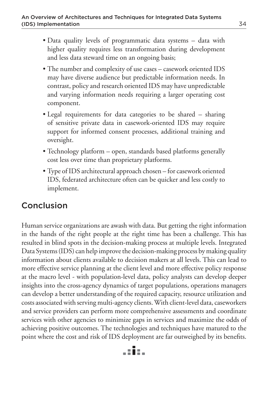- Data quality levels of programmatic data systems data with higher quality requires less transformation during development and less data steward time on an ongoing basis;
- The number and complexity of use cases casework oriented IDS may have diverse audience but predictable information needs. In contrast, policy and research oriented IDS may have unpredictable and varying information needs requiring a larger operating cost component.
- Legal requirements for data categories to be shared sharing of sensitive private data in casework-oriented IDS may require support for informed consent processes, additional training and oversight.
- Technology platform open, standards based platforms generally cost less over time than proprietary platforms.
- Type of IDS architectural approach chosen for casework oriented IDS, federated architecture often can be quicker and less costly to implement.

# Conclusion

Human service organizations are awash with data. But getting the right information in the hands of the right people at the right time has been a challenge. This has resulted in blind spots in the decision-making process at multiple levels. Integrated Data Systems (IDS) can help improve the decision-making process by making quality information about clients available to decision makers at all levels. This can lead to more effective service planning at the client level and more effective policy response at the macro level - with population-level data, policy analysts can develop deeper insights into the cross-agency dynamics of target populations, operations managers can develop a better understanding of the required capacity, resource utilization and costs associated with serving multi-agency clients. With client-level data, caseworkers and service providers can perform more comprehensive assessments and coordinate services with other agencies to minimize gaps in services and maximize the odds of achieving positive outcomes. The technologies and techniques have matured to the point where the cost and risk of IDS deployment are far outweighed by its benefits.